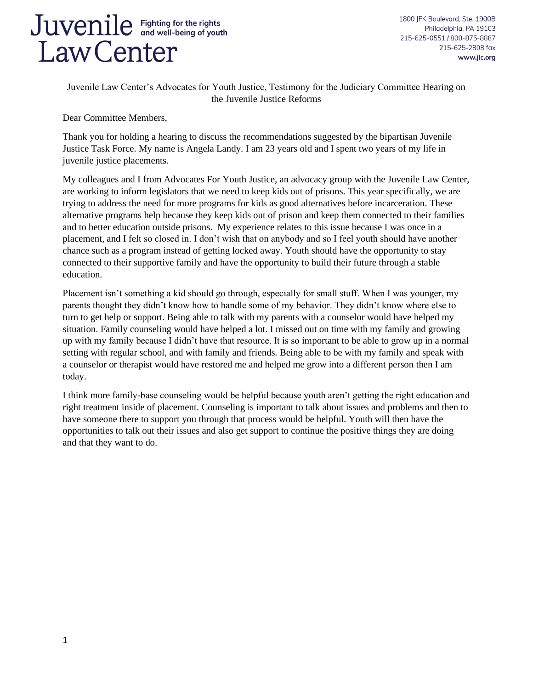1800 IFK Boulevard, Ste. 1900B Philadelphia, PA 19103 215-625-0551 / 800-875-8887 215-625-2808 fax www.jlc.org

Juvenile Law Center's Advocates for Youth Justice, Testimony for the Judiciary Committee Hearing on the Juvenile Justice Reforms

Dear Committee Members,

Thank you for holding a hearing to discuss the recommendations suggested by the bipartisan Juvenile Justice Task Force. My name is Angela Landy. I am 23 years old and I spent two years of my life in juvenile justice placements.

My colleagues and I from Advocates For Youth Justice, an advocacy group with the Juvenile Law Center, are working to inform legislators that we need to keep kids out of prisons. This year specifically, we are trying to address the need for more programs for kids as good alternatives before incarceration. These alternative programs help because they keep kids out of prison and keep them connected to their families and to better education outside prisons. My experience relates to this issue because I was once in a placement, and I felt so closed in. I don't wish that on anybody and so I feel youth should have another chance such as a program instead of getting locked away. Youth should have the opportunity to stay connected to their supportive family and have the opportunity to build their future through a stable education.

Placement isn't something a kid should go through, especially for small stuff. When I was younger, my parents thought they didn't know how to handle some of my behavior. They didn't know where else to turn to get help or support. Being able to talk with my parents with a counselor would have helped my situation. Family counseling would have helped a lot. I missed out on time with my family and growing up with my family because I didn't have that resource. It is so important to be able to grow up in a normal setting with regular school, and with family and friends. Being able to be with my family and speak with a counselor or therapist would have restored me and helped me grow into a different person then I am today.

I think more family-base counseling would be helpful because youth aren't getting the right education and right treatment inside of placement. Counseling is important to talk about issues and problems and then to have someone there to support you through that process would be helpful. Youth will then have the opportunities to talk out their issues and also get support to continue the positive things they are doing and that they want to do.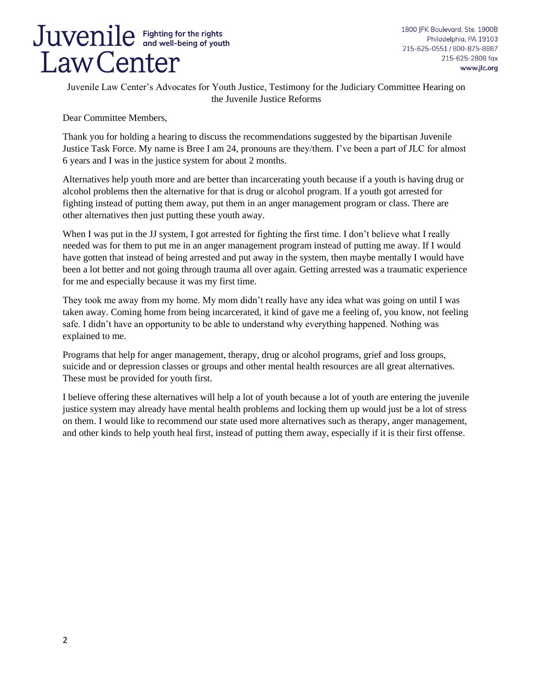1800 JFK Boulevard, Ste. 1900B Philadelphia, PA 19103 215-625-0551 / 800-875-8887 215-625-2808 fax www.jlc.org

Juvenile Law Center's Advocates for Youth Justice, Testimony for the Judiciary Committee Hearing on the Juvenile Justice Reforms

Dear Committee Members,

Thank you for holding a hearing to discuss the recommendations suggested by the bipartisan Juvenile Justice Task Force. My name is Bree I am 24, pronouns are they/them. I've been a part of JLC for almost 6 years and I was in the justice system for about 2 months.

Alternatives help youth more and are better than incarcerating youth because if a youth is having drug or alcohol problems then the alternative for that is drug or alcohol program. If a youth got arrested for fighting instead of putting them away, put them in an anger management program or class. There are other alternatives then just putting these youth away.

When I was put in the JJ system, I got arrested for fighting the first time. I don't believe what I really needed was for them to put me in an anger management program instead of putting me away. If I would have gotten that instead of being arrested and put away in the system, then maybe mentally I would have been a lot better and not going through trauma all over again. Getting arrested was a traumatic experience for me and especially because it was my first time.

They took me away from my home. My mom didn't really have any idea what was going on until I was taken away. Coming home from being incarcerated, it kind of gave me a feeling of, you know, not feeling safe. I didn't have an opportunity to be able to understand why everything happened. Nothing was explained to me.

Programs that help for anger management, therapy, drug or alcohol programs, grief and loss groups, suicide and or depression classes or groups and other mental health resources are all great alternatives. These must be provided for youth first.

I believe offering these alternatives will help a lot of youth because a lot of youth are entering the juvenile justice system may already have mental health problems and locking them up would just be a lot of stress on them. I would like to recommend our state used more alternatives such as therapy, anger management, and other kinds to help youth heal first, instead of putting them away, especially if it is their first offense.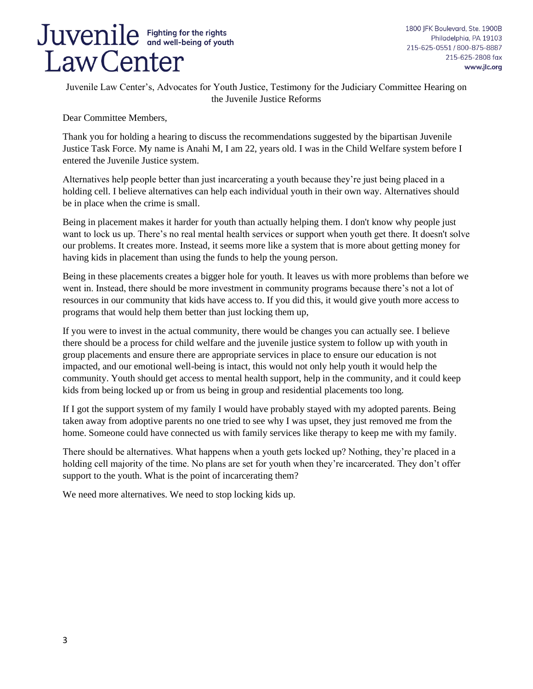

1800 JFK Boulevard, Ste. 1900B Philadelphia, PA 19103 215-625-0551 / 800-875-8887 215-625-2808 fax www.jlc.org

Juvenile Law Center's, Advocates for Youth Justice, Testimony for the Judiciary Committee Hearing on the Juvenile Justice Reforms

Dear Committee Members,

Thank you for holding a hearing to discuss the recommendations suggested by the bipartisan Juvenile Justice Task Force. My name is Anahi M, I am 22, years old. I was in the Child Welfare system before I entered the Juvenile Justice system.

Alternatives help people better than just incarcerating a youth because they're just being placed in a holding cell. I believe alternatives can help each individual youth in their own way. Alternatives should be in place when the crime is small.

Being in placement makes it harder for youth than actually helping them. I don't know why people just want to lock us up. There's no real mental health services or support when youth get there. It doesn't solve our problems. It creates more. Instead, it seems more like a system that is more about getting money for having kids in placement than using the funds to help the young person.

Being in these placements creates a bigger hole for youth. It leaves us with more problems than before we went in. Instead, there should be more investment in community programs because there's not a lot of resources in our community that kids have access to. If you did this, it would give youth more access to programs that would help them better than just locking them up,

If you were to invest in the actual community, there would be changes you can actually see. I believe there should be a process for child welfare and the juvenile justice system to follow up with youth in group placements and ensure there are appropriate services in place to ensure our education is not impacted, and our emotional well-being is intact, this would not only help youth it would help the community. Youth should get access to mental health support, help in the community, and it could keep kids from being locked up or from us being in group and residential placements too long.

If I got the support system of my family I would have probably stayed with my adopted parents. Being taken away from adoptive parents no one tried to see why I was upset, they just removed me from the home. Someone could have connected us with family services like therapy to keep me with my family.

There should be alternatives. What happens when a youth gets locked up? Nothing, they're placed in a holding cell majority of the time. No plans are set for youth when they're incarcerated. They don't offer support to the youth. What is the point of incarcerating them?

We need more alternatives. We need to stop locking kids up.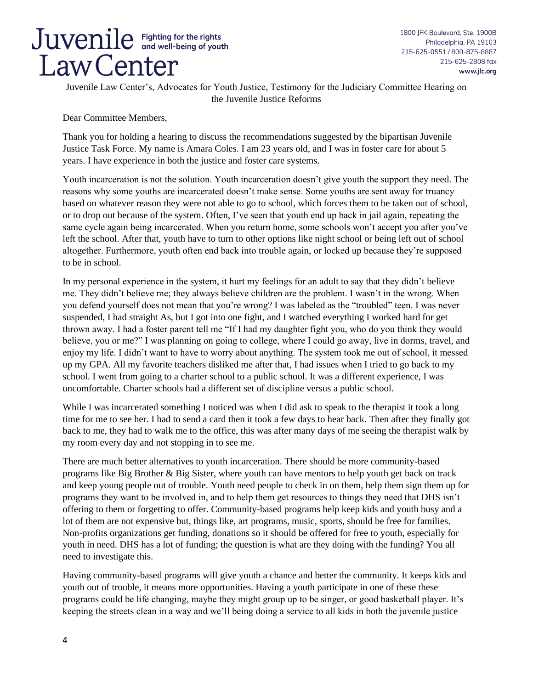1800 JFK Boulevard, Ste. 1900B Philadelphia, PA 19103 215-625-0551 / 800-875-8887 215-625-2808 fax www.jlc.org

Juvenile Law Center's, Advocates for Youth Justice, Testimony for the Judiciary Committee Hearing on the Juvenile Justice Reforms

Dear Committee Members,

Thank you for holding a hearing to discuss the recommendations suggested by the bipartisan Juvenile Justice Task Force. My name is Amara Coles. I am 23 years old, and I was in foster care for about 5 years. I have experience in both the justice and foster care systems.

Youth incarceration is not the solution. Youth incarceration doesn't give youth the support they need. The reasons why some youths are incarcerated doesn't make sense. Some youths are sent away for truancy based on whatever reason they were not able to go to school, which forces them to be taken out of school, or to drop out because of the system. Often, I've seen that youth end up back in jail again, repeating the same cycle again being incarcerated. When you return home, some schools won't accept you after you've left the school. After that, youth have to turn to other options like night school or being left out of school altogether. Furthermore, youth often end back into trouble again, or locked up because they're supposed to be in school.

In my personal experience in the system, it hurt my feelings for an adult to say that they didn't believe me. They didn't believe me; they always believe children are the problem. I wasn't in the wrong. When you defend yourself does not mean that you're wrong? I was labeled as the "troubled" teen. I was never suspended, I had straight As, but I got into one fight, and I watched everything I worked hard for get thrown away. I had a foster parent tell me "If I had my daughter fight you, who do you think they would believe, you or me?" I was planning on going to college, where I could go away, live in dorms, travel, and enjoy my life. I didn't want to have to worry about anything. The system took me out of school, it messed up my GPA. All my favorite teachers disliked me after that, I had issues when I tried to go back to my school. I went from going to a charter school to a public school. It was a different experience, I was uncomfortable. Charter schools had a different set of discipline versus a public school.

While I was incarcerated something I noticed was when I did ask to speak to the therapist it took a long time for me to see her. I had to send a card then it took a few days to hear back. Then after they finally got back to me, they had to walk me to the office, this was after many days of me seeing the therapist walk by my room every day and not stopping in to see me.

There are much better alternatives to youth incarceration. There should be more community-based programs like Big Brother & Big Sister, where youth can have mentors to help youth get back on track and keep young people out of trouble. Youth need people to check in on them, help them sign them up for programs they want to be involved in, and to help them get resources to things they need that DHS isn't offering to them or forgetting to offer. Community-based programs help keep kids and youth busy and a lot of them are not expensive but, things like, art programs, music, sports, should be free for families. Non-profits organizations get funding, donations so it should be offered for free to youth, especially for youth in need. DHS has a lot of funding; the question is what are they doing with the funding? You all need to investigate this.

Having community-based programs will give youth a chance and better the community. It keeps kids and youth out of trouble, it means more opportunities. Having a youth participate in one of these these programs could be life changing, maybe they might group up to be singer, or good basketball player. It's keeping the streets clean in a way and we'll being doing a service to all kids in both the juvenile justice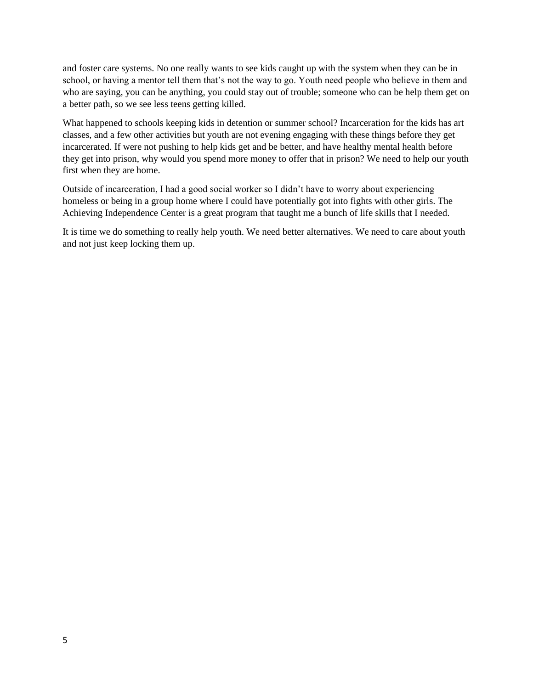and foster care systems. No one really wants to see kids caught up with the system when they can be in school, or having a mentor tell them that's not the way to go. Youth need people who believe in them and who are saying, you can be anything, you could stay out of trouble; someone who can be help them get on a better path, so we see less teens getting killed.

What happened to schools keeping kids in detention or summer school? Incarceration for the kids has art classes, and a few other activities but youth are not evening engaging with these things before they get incarcerated. If were not pushing to help kids get and be better, and have healthy mental health before they get into prison, why would you spend more money to offer that in prison? We need to help our youth first when they are home.

Outside of incarceration, I had a good social worker so I didn't have to worry about experiencing homeless or being in a group home where I could have potentially got into fights with other girls. The Achieving Independence Center is a great program that taught me a bunch of life skills that I needed.

It is time we do something to really help youth. We need better alternatives. We need to care about youth and not just keep locking them up.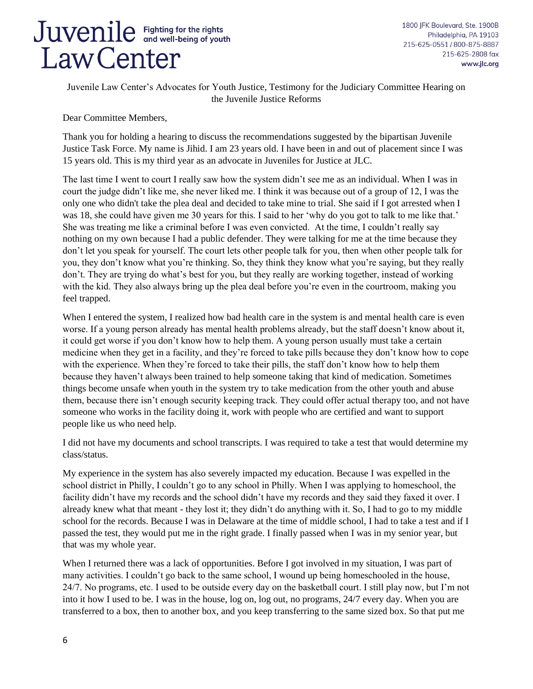1800 JFK Boulevard, Ste. 1900B Philadelphia, PA 19103 215-625-0551 / 800-875-8887 215-625-2808 fax www.jlc.org

Juvenile Law Center's Advocates for Youth Justice, Testimony for the Judiciary Committee Hearing on the Juvenile Justice Reforms

Dear Committee Members,

Thank you for holding a hearing to discuss the recommendations suggested by the bipartisan Juvenile Justice Task Force. My name is Jihid. I am 23 years old. I have been in and out of placement since I was 15 years old. This is my third year as an advocate in Juveniles for Justice at JLC.

The last time I went to court I really saw how the system didn't see me as an individual. When I was in court the judge didn't like me, she never liked me. I think it was because out of a group of 12, I was the only one who didn't take the plea deal and decided to take mine to trial. She said if I got arrested when I was 18, she could have given me 30 years for this. I said to her 'why do you got to talk to me like that.' She was treating me like a criminal before I was even convicted. At the time, I couldn't really say nothing on my own because I had a public defender. They were talking for me at the time because they don't let you speak for yourself. The court lets other people talk for you, then when other people talk for you, they don't know what you're thinking. So, they think they know what you're saying, but they really don't. They are trying do what's best for you, but they really are working together, instead of working with the kid. They also always bring up the plea deal before you're even in the courtroom, making you feel trapped.

When I entered the system, I realized how bad health care in the system is and mental health care is even worse. If a young person already has mental health problems already, but the staff doesn't know about it, it could get worse if you don't know how to help them. A young person usually must take a certain medicine when they get in a facility, and they're forced to take pills because they don't know how to cope with the experience. When they're forced to take their pills, the staff don't know how to help them because they haven't always been trained to help someone taking that kind of medication. Sometimes things become unsafe when youth in the system try to take medication from the other youth and abuse them, because there isn't enough security keeping track. They could offer actual therapy too, and not have someone who works in the facility doing it, work with people who are certified and want to support people like us who need help.

I did not have my documents and school transcripts. I was required to take a test that would determine my class/status.

My experience in the system has also severely impacted my education. Because I was expelled in the school district in Philly, I couldn't go to any school in Philly. When I was applying to homeschool, the facility didn't have my records and the school didn't have my records and they said they faxed it over. I already knew what that meant - they lost it; they didn't do anything with it. So, I had to go to my middle school for the records. Because I was in Delaware at the time of middle school, I had to take a test and if I passed the test, they would put me in the right grade. I finally passed when I was in my senior year, but that was my whole year.

When I returned there was a lack of opportunities. Before I got involved in my situation, I was part of many activities. I couldn't go back to the same school, I wound up being homeschooled in the house, 24/7. No programs, etc. I used to be outside every day on the basketball court. I still play now, but I'm not into it how I used to be. I was in the house, log on, log out, no programs, 24/7 every day. When you are transferred to a box, then to another box, and you keep transferring to the same sized box. So that put me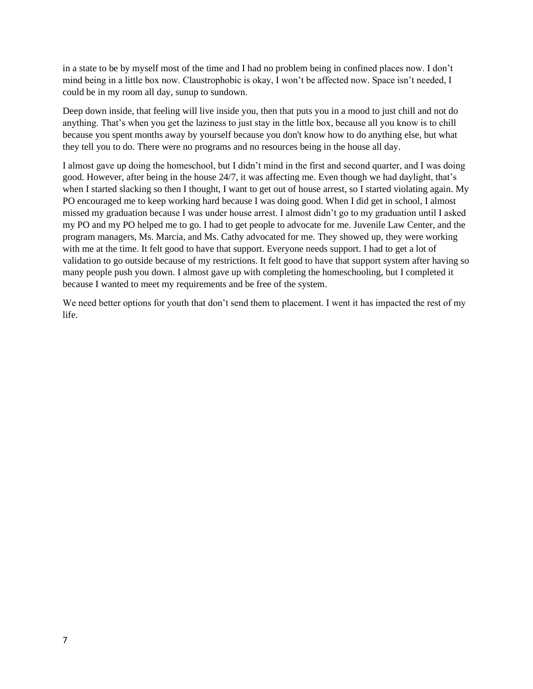in a state to be by myself most of the time and I had no problem being in confined places now. I don't mind being in a little box now. Claustrophobic is okay, I won't be affected now. Space isn't needed, I could be in my room all day, sunup to sundown.

Deep down inside, that feeling will live inside you, then that puts you in a mood to just chill and not do anything. That's when you get the laziness to just stay in the little box, because all you know is to chill because you spent months away by yourself because you don't know how to do anything else, but what they tell you to do. There were no programs and no resources being in the house all day.

I almost gave up doing the homeschool, but I didn't mind in the first and second quarter, and I was doing good. However, after being in the house 24/7, it was affecting me. Even though we had daylight, that's when I started slacking so then I thought, I want to get out of house arrest, so I started violating again. My PO encouraged me to keep working hard because I was doing good. When I did get in school, I almost missed my graduation because I was under house arrest. I almost didn't go to my graduation until I asked my PO and my PO helped me to go. I had to get people to advocate for me. Juvenile Law Center, and the program managers, Ms. Marcia, and Ms. Cathy advocated for me. They showed up, they were working with me at the time. It felt good to have that support. Everyone needs support. I had to get a lot of validation to go outside because of my restrictions. It felt good to have that support system after having so many people push you down. I almost gave up with completing the homeschooling, but I completed it because I wanted to meet my requirements and be free of the system.

We need better options for youth that don't send them to placement. I went it has impacted the rest of my life.